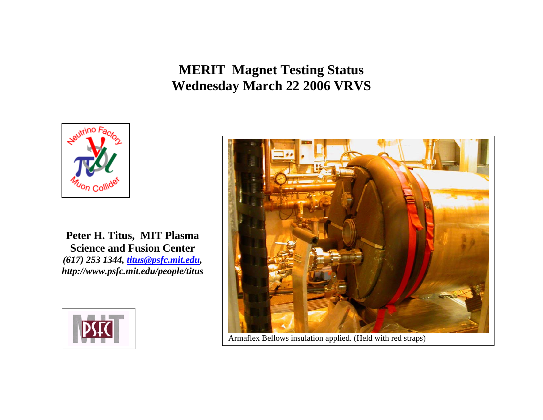**MERIT Magnet Testing Status Wednesday March 22 2006 VRVS**



**Peter H. Titus, MIT Plasma Science and Fusion Center**  *(617) 253 1344, titus@psfc.mit.edu, http://www.psfc.mit.edu/people/titus*





Armaflex Bellows insulation applied. (Held with red straps)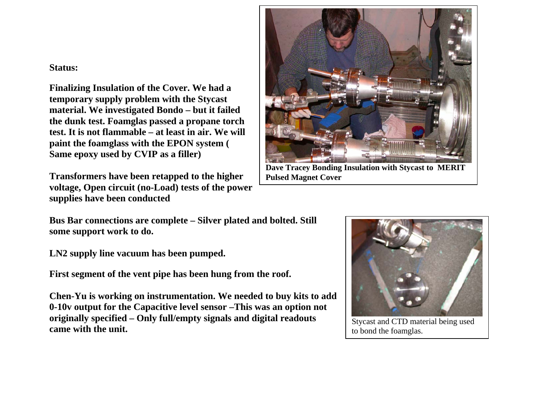## **Status:**

**Finalizing Insulation of the Cover. We had a temporary supply problem with the Stycast material. We investigated Bondo – but it failed the dunk test. Foamglas passed a propane torch test. It is not flammable – at least in air. We will paint the foamglass with the EPON system ( Same epoxy used by CVIP as a filler)** 

**Transformers have been retapped to the higher voltage, Open circuit (no-Load) tests of the power supplies have been conducted** 



**Dave Tracey Bonding Insulation with Stycast to MERIT Pulsed Magnet Cover** 

**Bus Bar connections are complete – Silver plated and bolted. Still some support work to do.** 

**LN2 supply line vacuum has been pumped.** 

**First segment of the vent pipe has been hung from the roof.** 

**Chen-Yu is working on instrumentation. We needed to buy kits to add 0-10v output for the Capacitive level sensor –This was an option not originally specified – Only full/empty signals and digital readouts came with the unit.** 



Stycast and CTD material being used to bond the foamglas.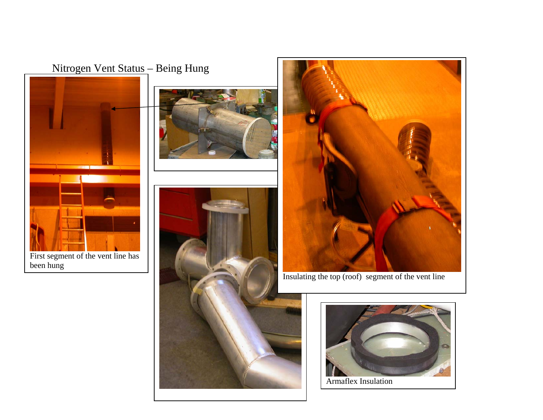## Nitrogen Vent Status - Being Hung











Armaflex Insulation